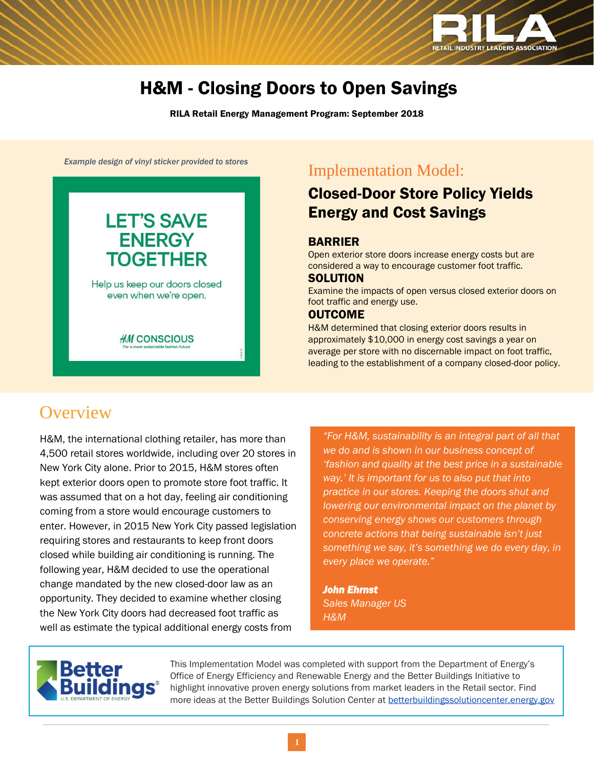

# H&M - Closing Doors to Open Savings

RILA Retail Energy Management Program: September 2018

*Example design of vinyl sticker provided to stores*



### Implementation Model:

### Closed-Door Store Policy Yields Energy and Cost Savings

### BARRIER

Open exterior store doors increase energy costs but are considered a way to encourage customer foot traffic.

#### **SOLUTION**

Examine the impacts of open versus closed exterior doors on foot traffic and energy use.

### **OUTCOME**

H&M determined that closing exterior doors results in approximately \$10,000 in energy cost savings a year on average per store with no discernable impact on foot traffic, leading to the establishment of a company closed-door policy.

## **Overview**

H&M, the international clothing retailer, has more than 4,500 retail stores worldwide, including over 20 stores in New York City alone. Prior to 2015, H&M stores often kept exterior doors open to promote store foot traffic. It was assumed that on a hot day, feeling air conditioning coming from a store would encourage customers to enter. However, in 2015 New York City passed legislation requiring stores and restaurants to keep front doors closed while building air conditioning is running. The following year, H&M decided to use the operational change mandated by the new closed-door law as an opportunity. They decided to examine whether closing the New York City doors had decreased foot traffic as well as estimate the typical additional energy costs from

*"For H&M, sustainability is an integral part of all that we do and is shown in our business concept of 'fashion and quality at the best price in a sustainable way.' It is important for us to also put that into practice in our stores. Keeping the doors shut and lowering our environmental impact on the planet by conserving energy shows our customers through concrete actions that being sustainable isn't just something we say, it's something we do every day, in every place we operate."*

*John Ehrnst Sales Manager US H&M*



This Implementation Model was completed with support from the Department of Energy's Office of Energy Efficiency and Renewable Energy and the Better Buildings Initiative to highlight innovative proven energy solutions from market leaders in the Retail sector. Find more ideas at the Better Buildings Solution Center at [betterbuildingssolutioncenter.energy.gov](http://betterbuildingssolutioncenter.energy.gov/)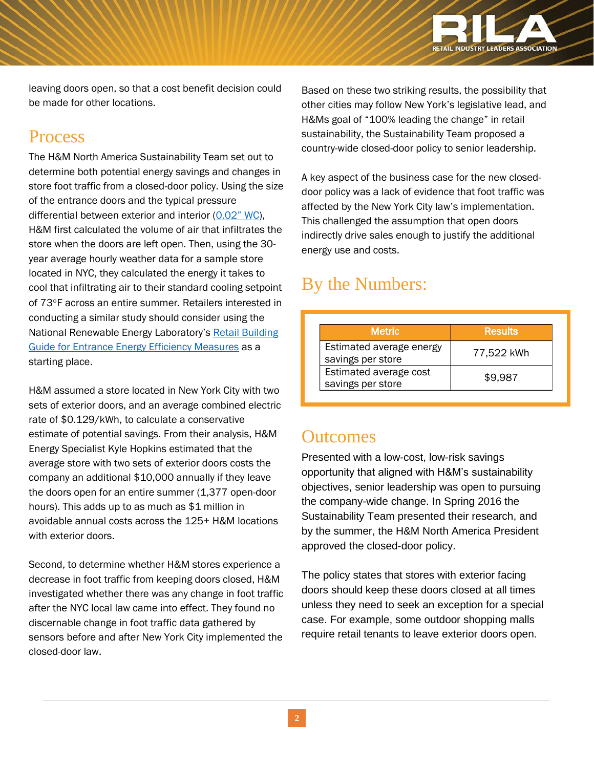

leaving doors open, so that a cost benefit decision could be made for other locations.

## Process

The H&M North America Sustainability Team set out to determine both potential energy savings and changes in store foot traffic from a closed-door policy. Using the size of the entrance doors and the typical pressure differential between exterior and interior ([0.02" WC](https://urbangreencouncil.org/sites/default/files/there_are_holes_in_our_walls.pdf)), H&M first calculated the volume of air that infiltrates the store when the doors are left open. Then, using the 30 year average hourly weather data for a sample store located in NYC, they calculated the energy it takes to cool that infiltrating air to their standard cooling setpoint of 73°F across an entire summer. Retailers interested in conducting a similar study should consider using the National Renewable Energy Laboratory's [Retail Building](https://www.nrel.gov/docs/fy12osti/52290.pdf)  [Guide for Entrance Energy Efficiency Measures](https://www.nrel.gov/docs/fy12osti/52290.pdf) as a starting place.

H&M assumed a store located in New York City with two sets of exterior doors, and an average combined electric rate of \$0.129/kWh, to calculate a conservative estimate of potential savings. From their analysis, H&M Energy Specialist Kyle Hopkins estimated that the average store with two sets of exterior doors costs the company an additional \$10,000 annually if they leave the doors open for an entire summer (1,377 open-door hours). This adds up to as much as \$1 million in avoidable annual costs across the 125+ H&M locations with exterior doors.

Second, to determine whether H&M stores experience a decrease in foot traffic from keeping doors closed, H&M investigated whether there was any change in foot traffic after the NYC local law came into effect. They found no discernable change in foot traffic data gathered by sensors before and after New York City implemented the closed-door law.

Based on these two striking results, the possibility that other cities may follow New York's legislative lead, and H&Ms goal of "100% leading the change" in retail sustainability, the Sustainability Team proposed a country-wide closed-door policy to senior leadership.

A key aspect of the business case for the new closeddoor policy was a lack of evidence that foot traffic was affected by the New York City law's implementation. This challenged the assumption that open doors indirectly drive sales enough to justify the additional energy use and costs.

# By the Numbers:

| <b>Metric</b>                                 | <b>Results</b> |
|-----------------------------------------------|----------------|
| Estimated average energy<br>savings per store | 77,522 kWh     |
| Estimated average cost<br>savings per store   | \$9.987        |

### **Outcomes**

Presented with a low-cost, low-risk savings opportunity that aligned with H&M's sustainability objectives, senior leadership was open to pursuing the company-wide change. In Spring 2016 the Sustainability Team presented their research, and by the summer, the H&M North America President approved the closed-door policy.

The policy states that stores with exterior facing doors should keep these doors closed at all times unless they need to seek an exception for a special case. For example, some outdoor shopping malls require retail tenants to leave exterior doors open.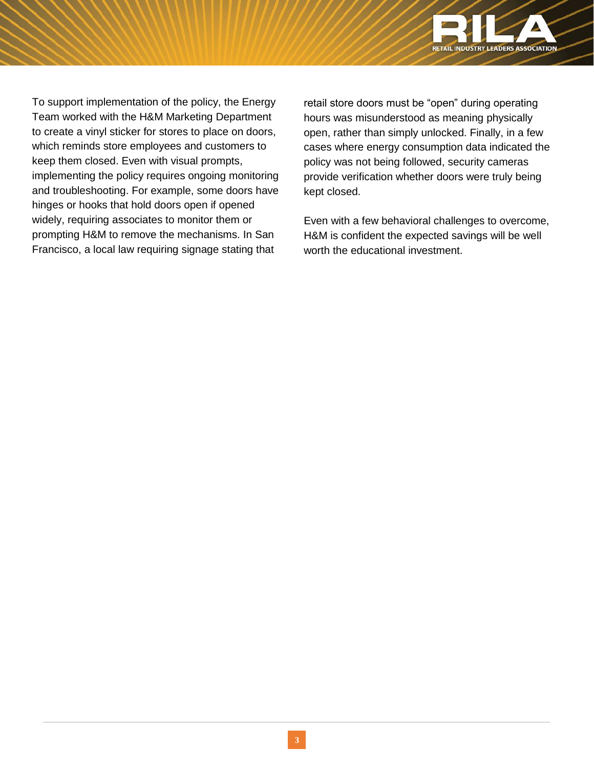

To support implementation of the policy, the Energy Team worked with the H&M Marketing Department to create a vinyl sticker for stores to place on doors, which reminds store employees and customers to keep them closed. Even with visual prompts, implementing the policy requires ongoing monitoring and troubleshooting. For example, some doors have hinges or hooks that hold doors open if opened widely, requiring associates to monitor them or prompting H&M to remove the mechanisms. In San Francisco, a local law requiring signage stating that

retail store doors must be "open" during operating hours was misunderstood as meaning physically open, rather than simply unlocked. Finally, in a few cases where energy consumption data indicated the policy was not being followed, security cameras provide verification whether doors were truly being kept closed.

Even with a few behavioral challenges to overcome, H&M is confident the expected savings will be well worth the educational investment.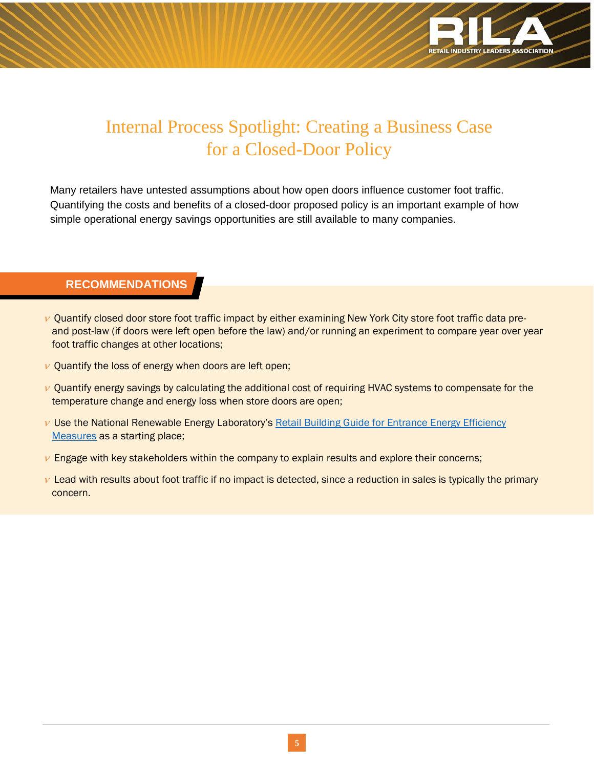

# Internal Process Spotlight: Creating a Business Case for a Closed-Door Policy

Many retailers have untested assumptions about how open doors influence customer foot traffic. Quantifying the costs and benefits of a closed-door proposed policy is an important example of how simple operational energy savings opportunities are still available to many companies.

### **RECOMMENDATIONS**

í

- $\nu$  Quantify closed door store foot traffic impact by either examining New York City store foot traffic data preand post-law (if doors were left open before the law) and/or running an experiment to compare year over year foot traffic changes at other locations;
- $\nu$  Quantify the loss of energy when doors are left open;
- $\nu$  Quantify energy savings by calculating the additional cost of requiring HVAC systems to compensate for the temperature change and energy loss when store doors are open;
- $\nu$  Use the National Renewable Energy Laboratory's Retail Building Guide for Entrance Energy Efficiency [Measures](https://www.nrel.gov/docs/fy12osti/52290.pdf) as a starting place;
- $\nu$  Engage with key stakeholders within the company to explain results and explore their concerns;
- $\nu$  Lead with results about foot traffic if no impact is detected, since a reduction in sales is typically the primary concern.